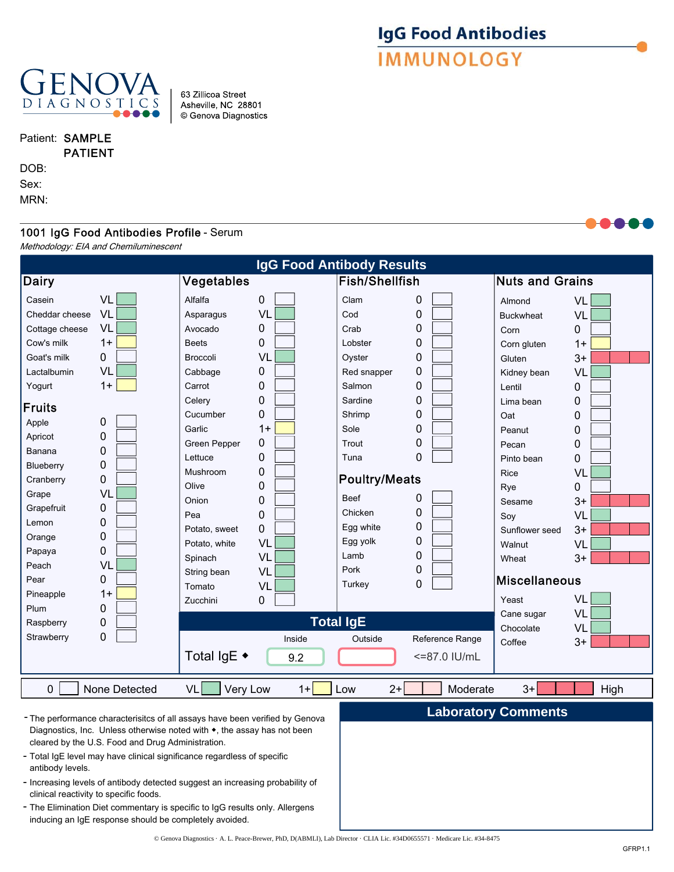

#### 63 Zillicoa Street Asheville, NC 28801 © Genova Diagnostics

Patient: SAMPLE PATIENT

DOB:

Sex:

MRN:

# 1001 IgG Food Antibodies Profile - Serum

Methodology: EIA and Chemiluminescent

| <b>IgG Food Antibody Results</b>                                                                                                                                                                                                                                                               |                                                                                                                                                                                                                |                                                                                                                                                                                                                                                                           |                                                                                                                                         |                                                                                                                                                                                                                                                     |                                                                                                                                                           |                                                                                                                                                                                                                                                                                      |                                                                                                                                            |  |  |
|------------------------------------------------------------------------------------------------------------------------------------------------------------------------------------------------------------------------------------------------------------------------------------------------|----------------------------------------------------------------------------------------------------------------------------------------------------------------------------------------------------------------|---------------------------------------------------------------------------------------------------------------------------------------------------------------------------------------------------------------------------------------------------------------------------|-----------------------------------------------------------------------------------------------------------------------------------------|-----------------------------------------------------------------------------------------------------------------------------------------------------------------------------------------------------------------------------------------------------|-----------------------------------------------------------------------------------------------------------------------------------------------------------|--------------------------------------------------------------------------------------------------------------------------------------------------------------------------------------------------------------------------------------------------------------------------------------|--------------------------------------------------------------------------------------------------------------------------------------------|--|--|
| <b>Dairy</b>                                                                                                                                                                                                                                                                                   | Vegetables                                                                                                                                                                                                     |                                                                                                                                                                                                                                                                           | <b>Fish/Shellfish</b>                                                                                                                   |                                                                                                                                                                                                                                                     | <b>Nuts and Grains</b>                                                                                                                                    |                                                                                                                                                                                                                                                                                      |                                                                                                                                            |  |  |
| Casein<br>Cheddar cheese<br>Cottage cheese<br>Cow's milk<br>Goat's milk<br>Lactalbumin<br>Yogurt<br><b>Fruits</b><br>Apple<br>Apricot<br>Banana<br>Blueberry<br>Cranberry<br>Grape<br>Grapefruit<br>Lemon<br>Orange<br>Papaya<br>Peach<br>Pear<br>Pineapple<br>Plum<br>Raspberry<br>Strawberry | VL<br>VL<br>VL<br>$1+$<br>0<br>VL<br>$1+$<br>$\mathbf 0$<br>0<br>0<br>$\mathbf 0$<br>$\mathbf 0$<br>VL<br>$\mathbf 0$<br>0<br>$\mathbf 0$<br>$\mathbf 0$<br>VL<br>0<br>$1+$<br>0<br>$\mathbf 0$<br>$\mathbf 0$ | Alfalfa<br>Asparagus<br>Avocado<br><b>Beets</b><br><b>Broccoli</b><br>Cabbage<br>Carrot<br>Celery<br>Cucumber<br>Garlic<br>Green Pepper<br>Lettuce<br>Mushroom<br>Olive<br>Onion<br>Pea<br>Potato, sweet<br>Potato, white<br>Spinach<br>String bean<br>Tomato<br>Zucchini | 0<br>VL<br>0<br>0<br>VL<br>0<br>0<br>0<br>0<br>$1+$<br>0<br>0<br>0<br>0<br>0<br>0<br>$\mathbf 0$<br>VL<br>VL<br>VL<br>VL<br>0<br>Inside | Clam<br>Cod<br>Crab<br>Lobster<br>Oyster<br>Red snapper<br>Salmon<br>Sardine<br>Shrimp<br>Sole<br>Trout<br>Tuna<br><b>Poultry/Meats</b><br><b>Beef</b><br>Chicken<br>Egg white<br>Egg yolk<br>Lamb<br>Pork<br>Turkey<br><b>Total IgE</b><br>Outside | 0<br>0<br>0<br>0<br>0<br>0<br>0<br>0<br>$\mathbf 0$<br>0<br>0<br>$\overline{0}$<br>0<br>$\mathbf 0$<br>0<br>0<br>0<br>0<br>$\mathbf 0$<br>Reference Range | Almond<br><b>Buckwheat</b><br>Corn<br>Corn gluten<br>Gluten<br>Kidney bean<br>Lentil<br>Lima bean<br>Oat<br>Peanut<br>Pecan<br>Pinto bean<br>Rice<br>Rye<br>Sesame<br>Soy<br>Sunflower seed<br>Walnut<br>Wheat<br><b>Miscellaneous</b><br>Yeast<br>Cane sugar<br>Chocolate<br>Coffee | VL<br>VL<br>0<br>$1+$<br>$3+$<br>VL<br>0<br>0<br>0<br>0<br>0<br>0<br>VL<br>0<br>$3+$<br>VL<br>$3+$<br>VL<br>$3+$<br>VL<br>VL<br>VL<br>$3+$ |  |  |
|                                                                                                                                                                                                                                                                                                |                                                                                                                                                                                                                | Total IgE ◆                                                                                                                                                                                                                                                               | 9.2                                                                                                                                     |                                                                                                                                                                                                                                                     | <=87.0 IU/mL                                                                                                                                              |                                                                                                                                                                                                                                                                                      |                                                                                                                                            |  |  |
| $\mathbf 0$<br><b>VL</b><br>Very Low<br>$3+$<br>None Detected<br>$2+$<br>Moderate<br>High<br>$1+$<br>Low                                                                                                                                                                                       |                                                                                                                                                                                                                |                                                                                                                                                                                                                                                                           |                                                                                                                                         |                                                                                                                                                                                                                                                     |                                                                                                                                                           |                                                                                                                                                                                                                                                                                      |                                                                                                                                            |  |  |
| <b>Laboratory Comments</b><br>- The performance characterisitcs of all assays have been verified by Genova<br>Diagnostics, Inc. Unless otherwise noted with ◆, the assay has not been<br>cleared by the U.S. Food and Drug Administration.                                                     |                                                                                                                                                                                                                |                                                                                                                                                                                                                                                                           |                                                                                                                                         |                                                                                                                                                                                                                                                     |                                                                                                                                                           |                                                                                                                                                                                                                                                                                      |                                                                                                                                            |  |  |

- Total IgE level may have clinical significance regardless of specific antibody levels.
- Increasing levels of antibody detected suggest an increasing probability of clinical reactivity to specific foods.
- The Elimination Diet commentary is specific to IgG results only. Allergens inducing an IgE response should be completely avoided.

**IgG Food Antibodies**<br>**IMMUNOLOGY**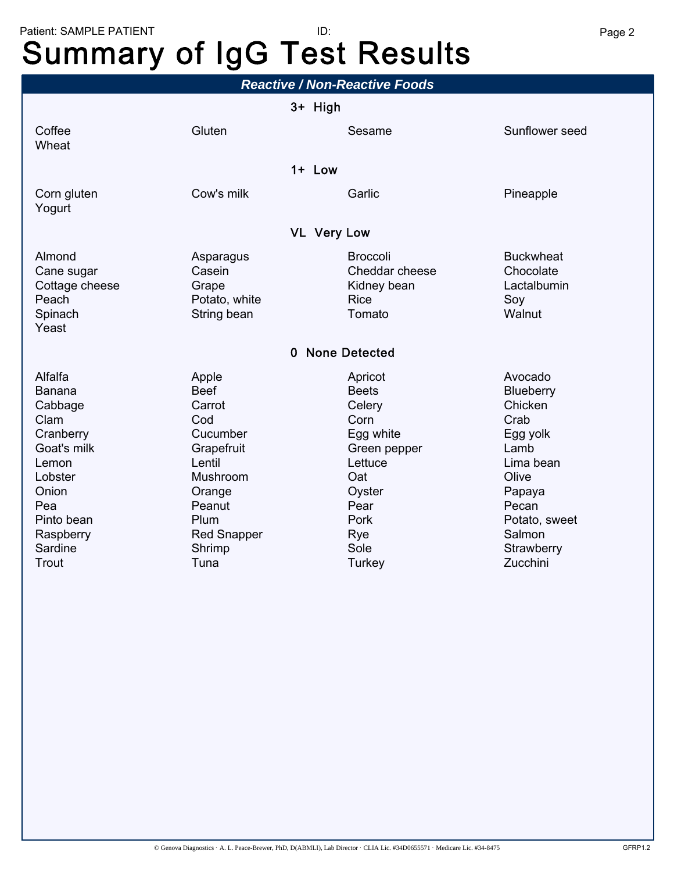# Patient: SAMPLE PATIENT **Page 2** Page 2 ID: Summary of IgG Test Results

| 3+ High                                                                                                                                           |                                                                                                                                   |                                                                                                                                                                  |  |  |  |  |  |  |  |
|---------------------------------------------------------------------------------------------------------------------------------------------------|-----------------------------------------------------------------------------------------------------------------------------------|------------------------------------------------------------------------------------------------------------------------------------------------------------------|--|--|--|--|--|--|--|
|                                                                                                                                                   |                                                                                                                                   |                                                                                                                                                                  |  |  |  |  |  |  |  |
| Gluten                                                                                                                                            | Sesame                                                                                                                            | Sunflower seed                                                                                                                                                   |  |  |  |  |  |  |  |
| $1+$ Low                                                                                                                                          |                                                                                                                                   |                                                                                                                                                                  |  |  |  |  |  |  |  |
| Cow's milk                                                                                                                                        | Garlic                                                                                                                            | Pineapple                                                                                                                                                        |  |  |  |  |  |  |  |
| <b>VL Very Low</b>                                                                                                                                |                                                                                                                                   |                                                                                                                                                                  |  |  |  |  |  |  |  |
| Asparagus<br>Casein<br>Grape<br>Potato, white<br>String bean                                                                                      | <b>Broccoli</b><br>Cheddar cheese<br>Kidney bean<br><b>Rice</b><br>Tomato                                                         | <b>Buckwheat</b><br>Chocolate<br>Lactalbumin<br>Soy<br>Walnut                                                                                                    |  |  |  |  |  |  |  |
| 0 None Detected                                                                                                                                   |                                                                                                                                   |                                                                                                                                                                  |  |  |  |  |  |  |  |
| Apple<br><b>Beef</b><br>Carrot<br>Cod<br>Cucumber<br>Grapefruit<br>Lentil<br>Mushroom<br>Orange<br>Peanut<br>Plum<br><b>Red Snapper</b><br>Shrimp | Apricot<br><b>Beets</b><br>Celery<br>Corn<br>Egg white<br>Green pepper<br>Lettuce<br>Oat<br>Oyster<br>Pear<br>Pork<br>Rye<br>Sole | Avocado<br><b>Blueberry</b><br>Chicken<br>Crab<br>Egg yolk<br>Lamb<br>Lima bean<br>Olive<br>Papaya<br>Pecan<br>Potato, sweet<br>Salmon<br>Strawberry<br>Zucchini |  |  |  |  |  |  |  |
|                                                                                                                                                   | Tuna                                                                                                                              | <b>Turkey</b>                                                                                                                                                    |  |  |  |  |  |  |  |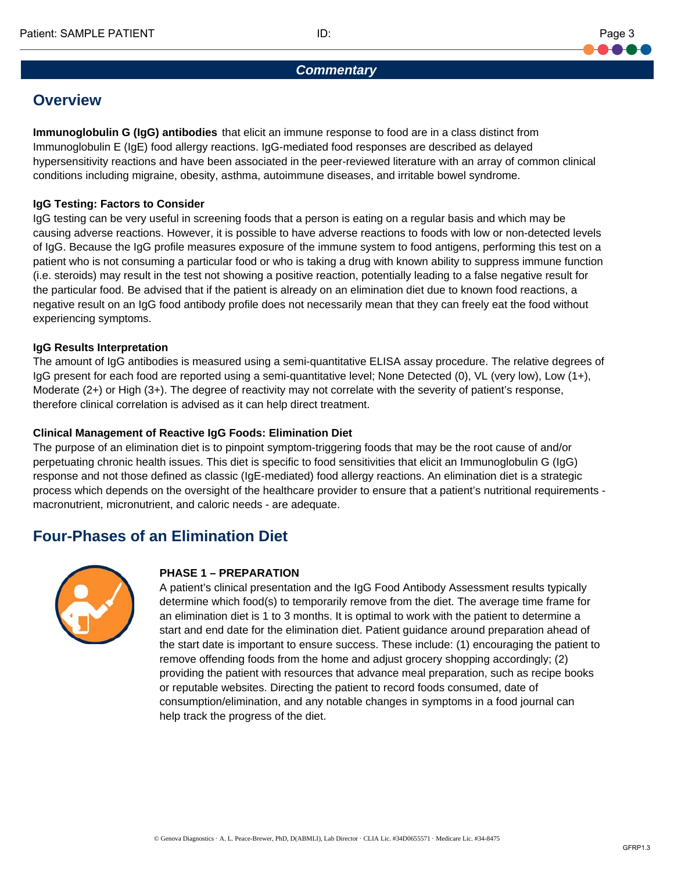

#### *Commentary*

# **Overview**

**Immunoglobulin G (IgG) antibodies** that elicit an immune response to food are in a class distinct from Immunoglobulin E (IgE) food allergy reactions. IgG-mediated food responses are described as delayed hypersensitivity reactions and have been associated in the peer-reviewed literature with an array of common clinical conditions including migraine, obesity, asthma, autoimmune diseases, and irritable bowel syndrome.

## **IgG Testing: Factors to Consider**

IgG testing can be very useful in screening foods that a person is eating on a regular basis and which may be causing adverse reactions. However, it is possible to have adverse reactions to foods with low or non-detected levels of IgG. Because the IgG profile measures exposure of the immune system to food antigens, performing this test on a patient who is not consuming a particular food or who is taking a drug with known ability to suppress immune function (i.e. steroids) may result in the test not showing a positive reaction, potentially leading to a false negative result for the particular food. Be advised that if the patient is already on an elimination diet due to known food reactions, a negative result on an IgG food antibody profile does not necessarily mean that they can freely eat the food without experiencing symptoms.

#### **IgG Results Interpretation**

The amount of IgG antibodies is measured using a semi-quantitative ELISA assay procedure. The relative degrees of IgG present for each food are reported using a semi-quantitative level; None Detected (0), VL (very low), Low (1+), Moderate (2+) or High (3+). The degree of reactivity may not correlate with the severity of patient's response, therefore clinical correlation is advised as it can help direct treatment.

## **Clinical Management of Reactive IgG Foods: Elimination Diet**

The purpose of an elimination diet is to pinpoint symptom-triggering foods that may be the root cause of and/or perpetuating chronic health issues. This diet is specific to food sensitivities that elicit an Immunoglobulin G (IgG) response and not those defined as classic (IgE-mediated) food allergy reactions. An elimination diet is a strategic process which depends on the oversight of the healthcare provider to ensure that a patient's nutritional requirements macronutrient, micronutrient, and caloric needs - are adequate.

# **Four-Phases of an Elimination Diet**



#### **PHASE 1 – PREPARATION**

A patient's clinical presentation and the IgG Food Antibody Assessment results typically determine which food(s) to temporarily remove from the diet. The average time frame for an elimination diet is 1 to 3 months. It is optimal to work with the patient to determine a start and end date for the elimination diet. Patient guidance around preparation ahead of the start date is important to ensure success. These include: (1) encouraging the patient to remove offending foods from the home and adjust grocery shopping accordingly; (2) providing the patient with resources that advance meal preparation, such as recipe books or reputable websites. Directing the patient to record foods consumed, date of consumption/elimination, and any notable changes in symptoms in a food journal can help track the progress of the diet.